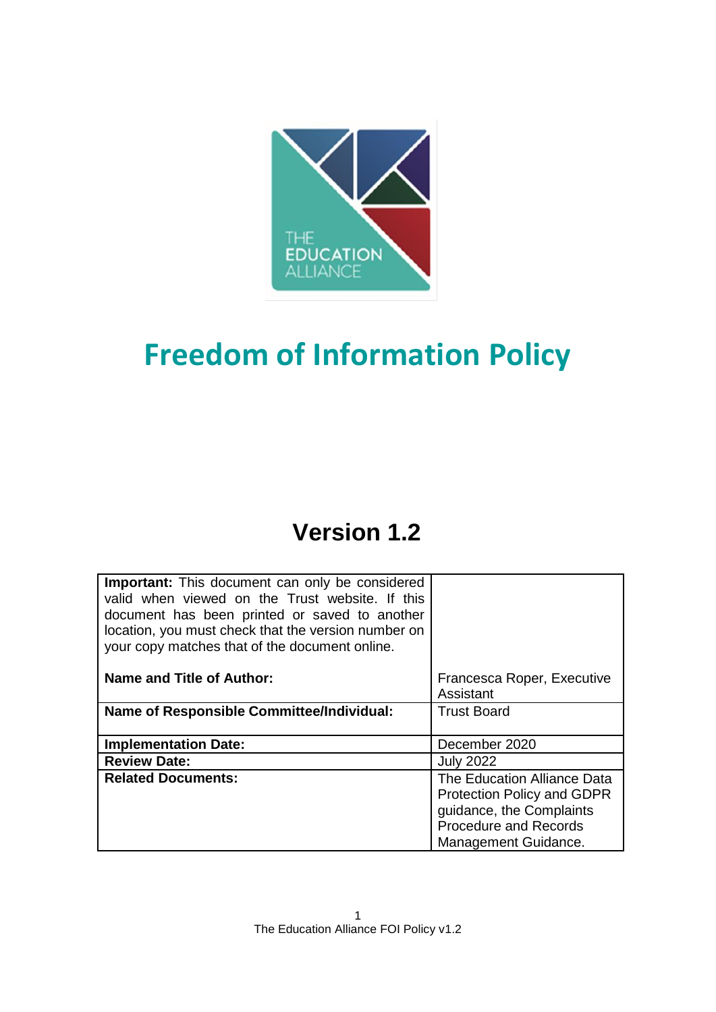

# **Freedom of Information Policy**

## **Version 1.2**

| <b>Important:</b> This document can only be considered<br>valid when viewed on the Trust website. If this<br>document has been printed or saved to another<br>location, you must check that the version number on<br>your copy matches that of the document online. |                                                                                                                                                      |
|---------------------------------------------------------------------------------------------------------------------------------------------------------------------------------------------------------------------------------------------------------------------|------------------------------------------------------------------------------------------------------------------------------------------------------|
| Name and Title of Author:                                                                                                                                                                                                                                           | Francesca Roper, Executive<br>Assistant                                                                                                              |
| <b>Name of Responsible Committee/Individual:</b>                                                                                                                                                                                                                    | <b>Trust Board</b>                                                                                                                                   |
| <b>Implementation Date:</b>                                                                                                                                                                                                                                         | December 2020                                                                                                                                        |
| <b>Review Date:</b>                                                                                                                                                                                                                                                 | <b>July 2022</b>                                                                                                                                     |
| <b>Related Documents:</b>                                                                                                                                                                                                                                           | The Education Alliance Data<br><b>Protection Policy and GDPR</b><br>guidance, the Complaints<br><b>Procedure and Records</b><br>Management Guidance. |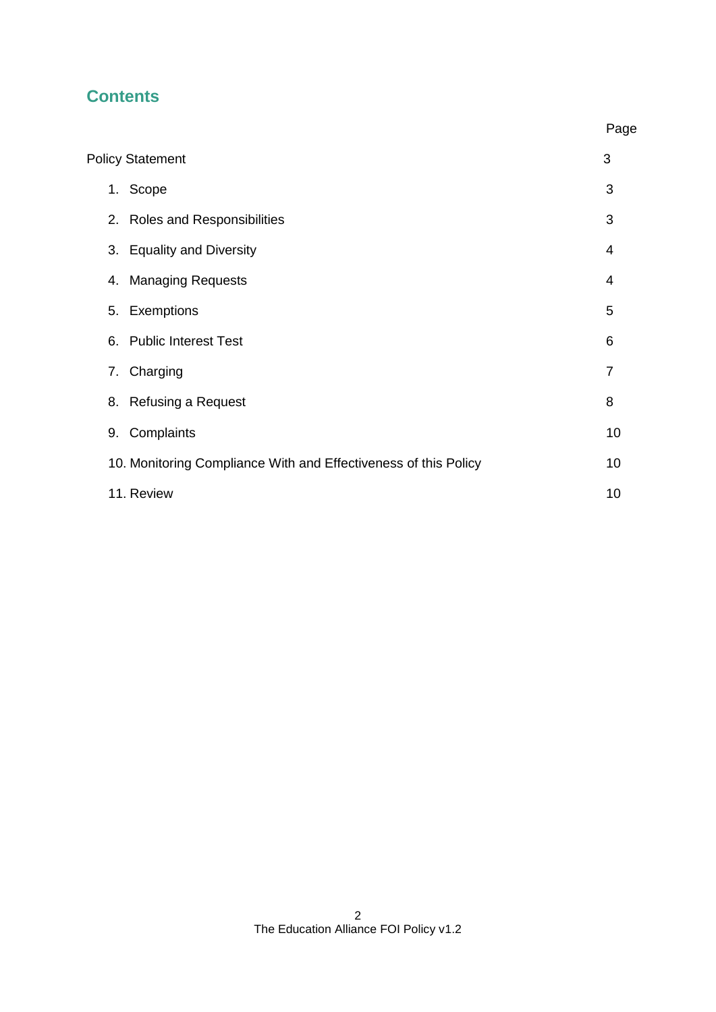### **Contents**

|    |                                                                 | Page |
|----|-----------------------------------------------------------------|------|
|    | <b>Policy Statement</b>                                         | 3    |
|    | 1. Scope                                                        | 3    |
|    | 2. Roles and Responsibilities                                   | 3    |
|    | 3. Equality and Diversity                                       | 4    |
| 4. | <b>Managing Requests</b>                                        | 4    |
|    | 5. Exemptions                                                   | 5    |
| 6. | <b>Public Interest Test</b>                                     | 6    |
|    | 7. Charging                                                     | 7    |
|    | 8. Refusing a Request                                           | 8    |
| 9. | Complaints                                                      | 10   |
|    | 10. Monitoring Compliance With and Effectiveness of this Policy | 10   |
|    | 11. Review                                                      | 10   |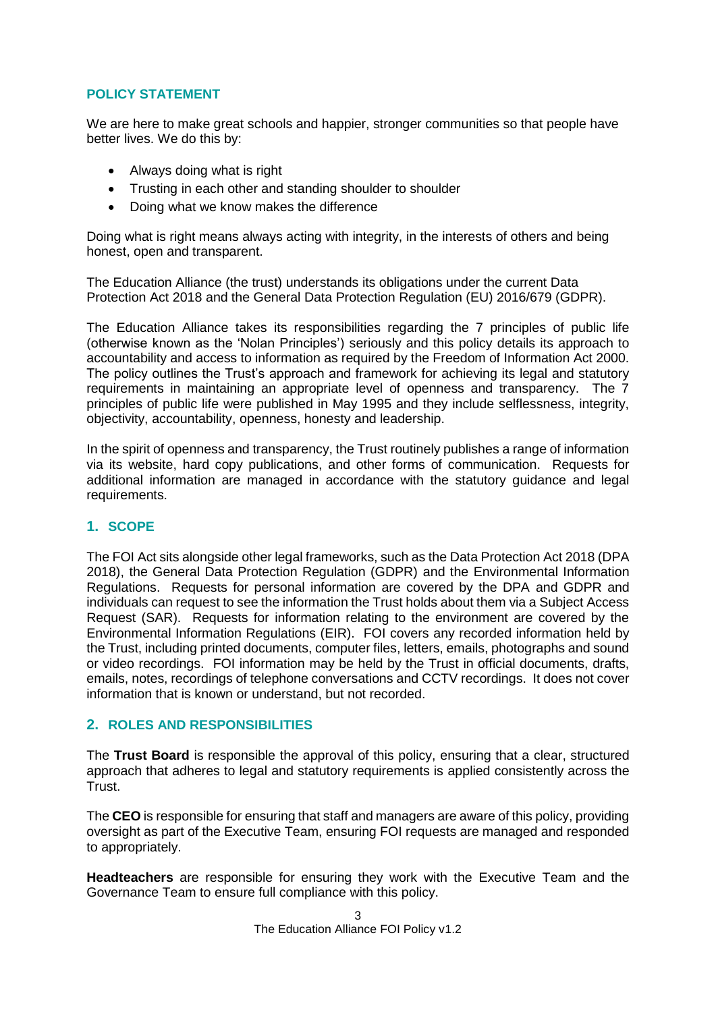#### **POLICY STATEMENT**

We are here to make great schools and happier, stronger communities so that people have better lives. We do this by:

- Always doing what is right
- Trusting in each other and standing shoulder to shoulder
- Doing what we know makes the difference

Doing what is right means always acting with integrity, in the interests of others and being honest, open and transparent.

The Education Alliance (the trust) understands its obligations under the current Data Protection Act 2018 and the General Data Protection Regulation (EU) 2016/679 (GDPR).

The Education Alliance takes its responsibilities regarding the 7 principles of public life (otherwise known as the 'Nolan Principles') seriously and this policy details its approach to accountability and access to information as required by the Freedom of Information Act 2000. The policy outlines the Trust's approach and framework for achieving its legal and statutory requirements in maintaining an appropriate level of openness and transparency. The 7 principles of public life were published in May 1995 and they include selflessness, integrity, objectivity, accountability, openness, honesty and leadership.

In the spirit of openness and transparency, the Trust routinely publishes a range of information via its website, hard copy publications, and other forms of communication. Requests for additional information are managed in accordance with the statutory guidance and legal requirements.

#### **1. SCOPE**

The FOI Act sits alongside other legal frameworks, such as the Data Protection Act 2018 (DPA 2018), the General Data Protection Regulation (GDPR) and the Environmental Information Regulations. Requests for personal information are covered by the DPA and GDPR and individuals can request to see the information the Trust holds about them via a Subject Access Request (SAR). Requests for information relating to the environment are covered by the Environmental Information Regulations (EIR). FOI covers any recorded information held by the Trust, including printed documents, computer files, letters, emails, photographs and sound or video recordings. FOI information may be held by the Trust in official documents, drafts, emails, notes, recordings of telephone conversations and CCTV recordings. It does not cover information that is known or understand, but not recorded.

#### **2. ROLES AND RESPONSIBILITIES**

The **Trust Board** is responsible the approval of this policy, ensuring that a clear, structured approach that adheres to legal and statutory requirements is applied consistently across the Trust.

The **CEO** is responsible for ensuring that staff and managers are aware of this policy, providing oversight as part of the Executive Team, ensuring FOI requests are managed and responded to appropriately.

**Headteachers** are responsible for ensuring they work with the Executive Team and the Governance Team to ensure full compliance with this policy.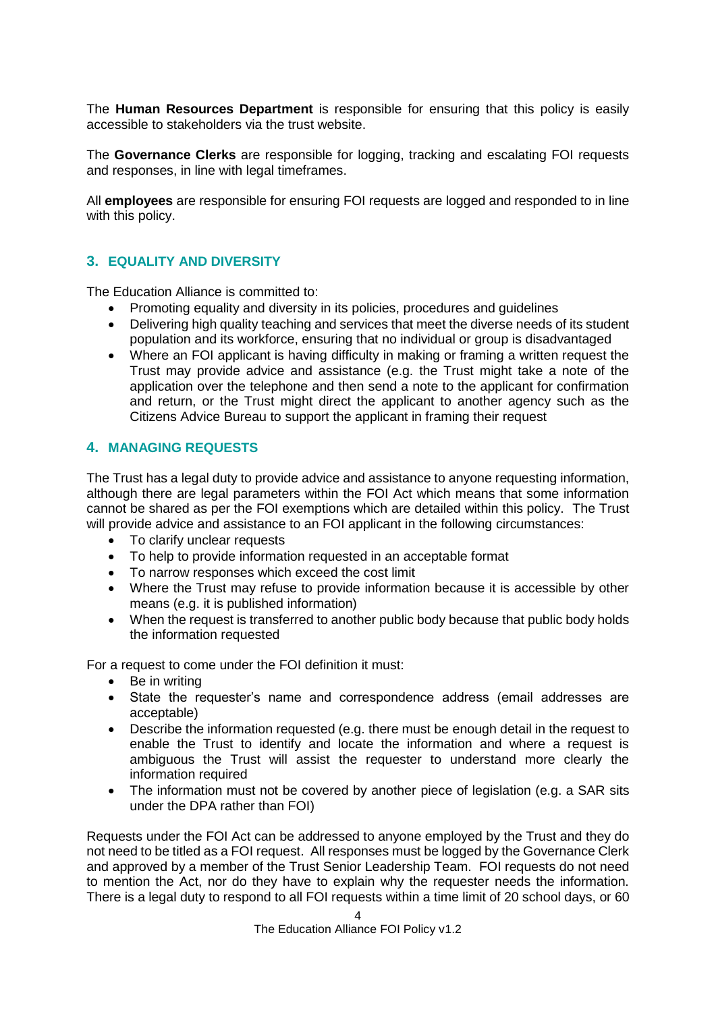The **Human Resources Department** is responsible for ensuring that this policy is easily accessible to stakeholders via the trust website.

The **Governance Clerks** are responsible for logging, tracking and escalating FOI requests and responses, in line with legal timeframes.

All **employees** are responsible for ensuring FOI requests are logged and responded to in line with this policy.

#### **3. EQUALITY AND DIVERSITY**

The Education Alliance is committed to:

- Promoting equality and diversity in its policies, procedures and guidelines
- Delivering high quality teaching and services that meet the diverse needs of its student population and its workforce, ensuring that no individual or group is disadvantaged
- Where an FOI applicant is having difficulty in making or framing a written request the Trust may provide advice and assistance (e.g. the Trust might take a note of the application over the telephone and then send a note to the applicant for confirmation and return, or the Trust might direct the applicant to another agency such as the Citizens Advice Bureau to support the applicant in framing their request

#### **4. MANAGING REQUESTS**

The Trust has a legal duty to provide advice and assistance to anyone requesting information, although there are legal parameters within the FOI Act which means that some information cannot be shared as per the FOI exemptions which are detailed within this policy. The Trust will provide advice and assistance to an FOI applicant in the following circumstances:

- To clarify unclear requests
- To help to provide information requested in an acceptable format
- To narrow responses which exceed the cost limit
- Where the Trust may refuse to provide information because it is accessible by other means (e.g. it is published information)
- When the request is transferred to another public body because that public body holds the information requested

For a request to come under the FOI definition it must:

- Be in writing
- State the requester's name and correspondence address (email addresses are acceptable)
- Describe the information requested (e.g. there must be enough detail in the request to enable the Trust to identify and locate the information and where a request is ambiguous the Trust will assist the requester to understand more clearly the information required
- The information must not be covered by another piece of legislation (e.g. a SAR sits under the DPA rather than FOI)

Requests under the FOI Act can be addressed to anyone employed by the Trust and they do not need to be titled as a FOI request. All responses must be logged by the Governance Clerk and approved by a member of the Trust Senior Leadership Team. FOI requests do not need to mention the Act, nor do they have to explain why the requester needs the information. There is a legal duty to respond to all FOI requests within a time limit of 20 school days, or 60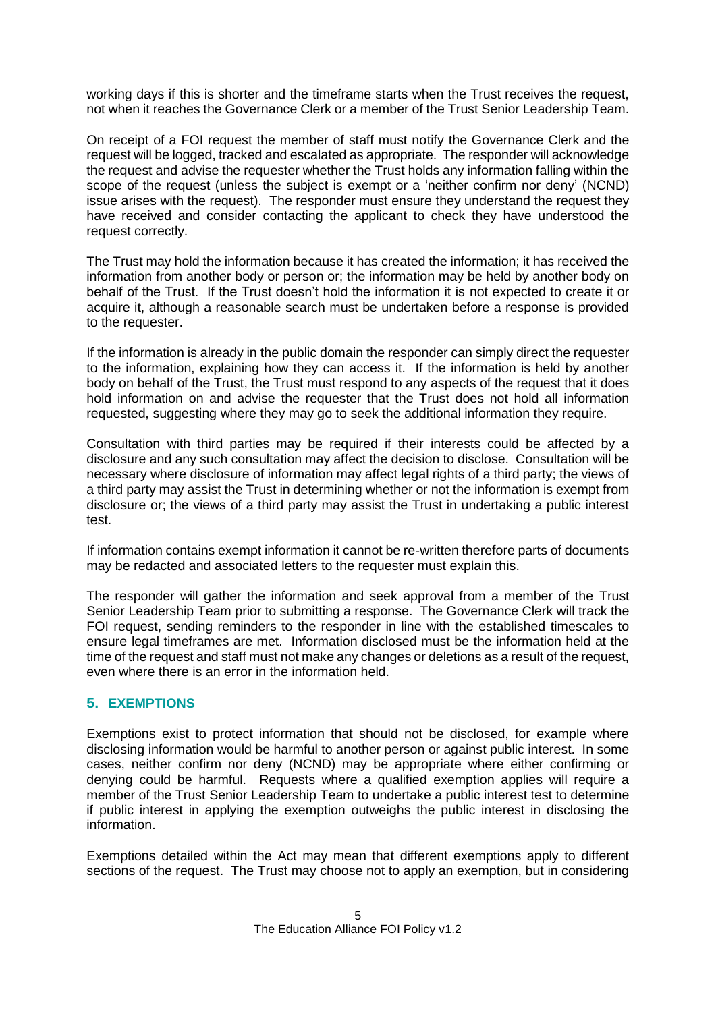working days if this is shorter and the timeframe starts when the Trust receives the request, not when it reaches the Governance Clerk or a member of the Trust Senior Leadership Team.

On receipt of a FOI request the member of staff must notify the Governance Clerk and the request will be logged, tracked and escalated as appropriate. The responder will acknowledge the request and advise the requester whether the Trust holds any information falling within the scope of the request (unless the subject is exempt or a 'neither confirm nor deny' (NCND) issue arises with the request). The responder must ensure they understand the request they have received and consider contacting the applicant to check they have understood the request correctly.

The Trust may hold the information because it has created the information; it has received the information from another body or person or; the information may be held by another body on behalf of the Trust. If the Trust doesn't hold the information it is not expected to create it or acquire it, although a reasonable search must be undertaken before a response is provided to the requester.

If the information is already in the public domain the responder can simply direct the requester to the information, explaining how they can access it. If the information is held by another body on behalf of the Trust, the Trust must respond to any aspects of the request that it does hold information on and advise the requester that the Trust does not hold all information requested, suggesting where they may go to seek the additional information they require.

Consultation with third parties may be required if their interests could be affected by a disclosure and any such consultation may affect the decision to disclose. Consultation will be necessary where disclosure of information may affect legal rights of a third party; the views of a third party may assist the Trust in determining whether or not the information is exempt from disclosure or; the views of a third party may assist the Trust in undertaking a public interest test.

If information contains exempt information it cannot be re-written therefore parts of documents may be redacted and associated letters to the requester must explain this.

The responder will gather the information and seek approval from a member of the Trust Senior Leadership Team prior to submitting a response. The Governance Clerk will track the FOI request, sending reminders to the responder in line with the established timescales to ensure legal timeframes are met. Information disclosed must be the information held at the time of the request and staff must not make any changes or deletions as a result of the request, even where there is an error in the information held.

#### **5. EXEMPTIONS**

Exemptions exist to protect information that should not be disclosed, for example where disclosing information would be harmful to another person or against public interest. In some cases, neither confirm nor deny (NCND) may be appropriate where either confirming or denying could be harmful. Requests where a qualified exemption applies will require a member of the Trust Senior Leadership Team to undertake a public interest test to determine if public interest in applying the exemption outweighs the public interest in disclosing the information.

Exemptions detailed within the Act may mean that different exemptions apply to different sections of the request. The Trust may choose not to apply an exemption, but in considering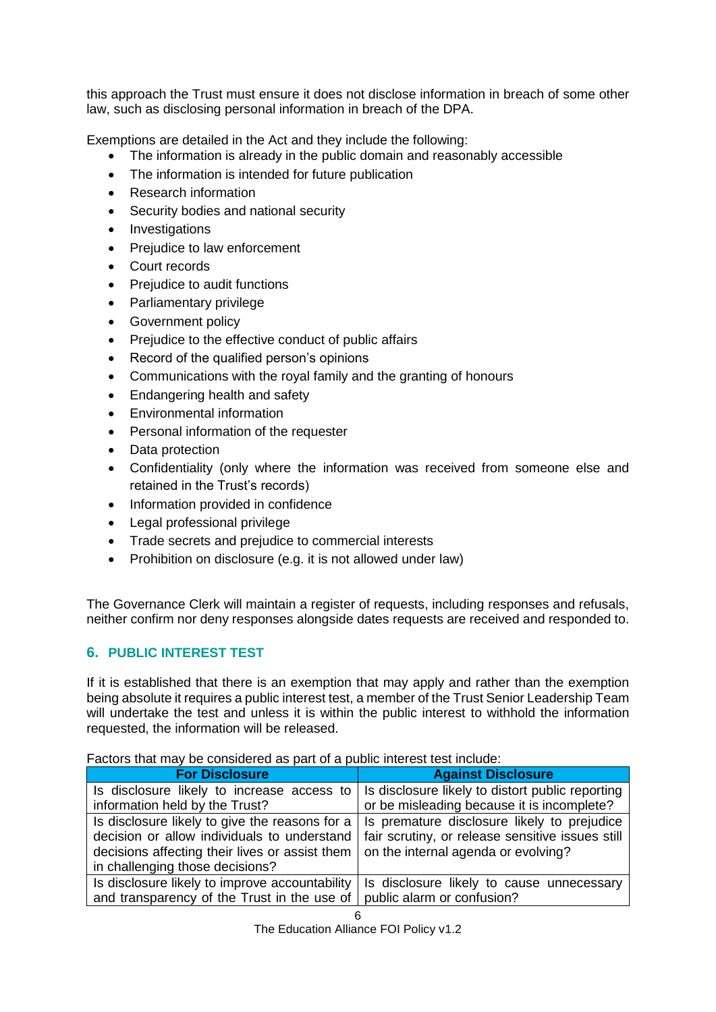this approach the Trust must ensure it does not disclose information in breach of some other law, such as disclosing personal information in breach of the DPA.

Exemptions are detailed in the Act and they include the following:

- The information is already in the public domain and reasonably accessible
- The information is intended for future publication
- Research information
- Security bodies and national security
- Investigations
- Prejudice to law enforcement
- Court records
- Prejudice to audit functions
- Parliamentary privilege
- Government policy
- Prejudice to the effective conduct of public affairs
- Record of the qualified person's opinions
- Communications with the royal family and the granting of honours
- Endangering health and safety
- Environmental information
- Personal information of the requester
- Data protection
- Confidentiality (only where the information was received from someone else and retained in the Trust's records)
- Information provided in confidence
- Legal professional privilege
- Trade secrets and prejudice to commercial interests
- Prohibition on disclosure (e.g. it is not allowed under law)

The Governance Clerk will maintain a register of requests, including responses and refusals, neither confirm nor deny responses alongside dates requests are received and responded to.

#### **6. PUBLIC INTEREST TEST**

If it is established that there is an exemption that may apply and rather than the exemption being absolute it requires a public interest test, a member of the Trust Senior Leadership Team will undertake the test and unless it is within the public interest to withhold the information requested, the information will be released.

Factors that may be considered as part of a public interest test include:

| <b>For Disclosure</b>                          | <b>Against Disclosure</b>                        |
|------------------------------------------------|--------------------------------------------------|
| Is disclosure likely to increase access to     | Is disclosure likely to distort public reporting |
| information held by the Trust?                 | or be misleading because it is incomplete?       |
| Is disclosure likely to give the reasons for a | Is premature disclosure likely to prejudice      |
| decision or allow individuals to understand    | fair scrutiny, or release sensitive issues still |
| decisions affecting their lives or assist them | on the internal agenda or evolving?              |
| in challenging those decisions?                |                                                  |
| Is disclosure likely to improve accountability | Is disclosure likely to cause unnecessary        |
| and transparency of the Trust in the use of    | public alarm or confusion?                       |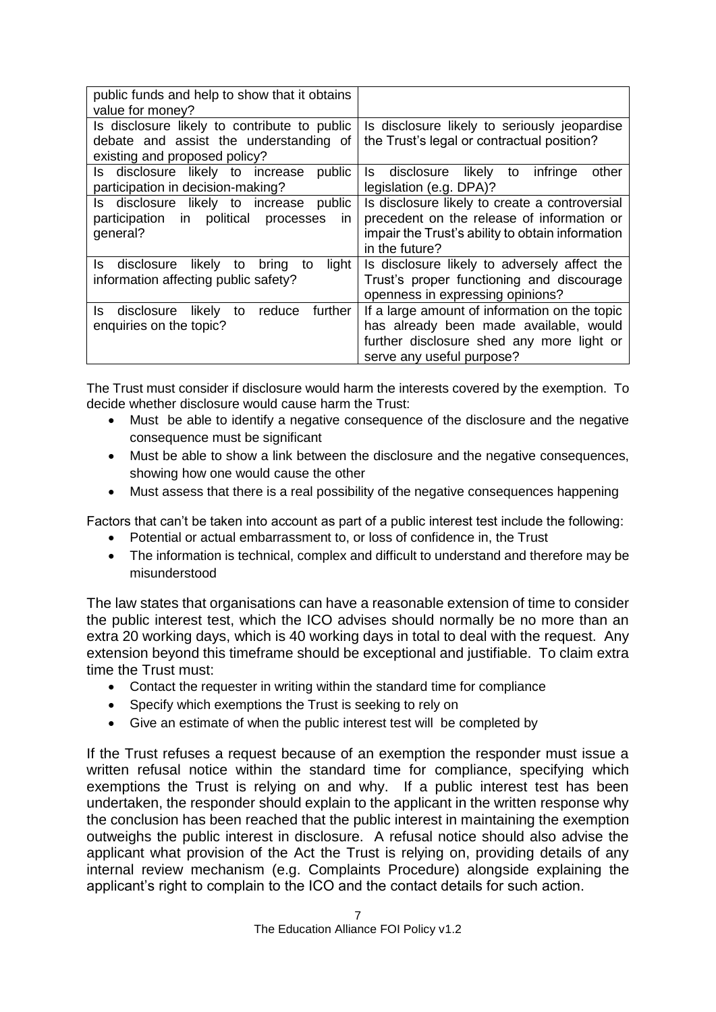| public funds and help to show that it obtains<br>value for money?                                                |                                                                                                                                                                    |
|------------------------------------------------------------------------------------------------------------------|--------------------------------------------------------------------------------------------------------------------------------------------------------------------|
| Is disclosure likely to contribute to public<br>debate and assist the understanding of                           | Is disclosure likely to seriously jeopardise<br>the Trust's legal or contractual position?                                                                         |
| existing and proposed policy?<br>Is disclosure likely to increase<br>public<br>participation in decision-making? | likely<br>infringe<br>Is disclosure<br>other<br>to<br>legislation (e.g. DPA)?                                                                                      |
| Is disclosure likely to increase public<br>political processes<br>participation<br>in<br>in.<br>general?         | Is disclosure likely to create a controversial<br>precedent on the release of information or<br>impair the Trust's ability to obtain information<br>in the future? |
| likely to<br>disclosure<br>light<br>ls.<br>bring<br>to<br>information affecting public safety?                   | Is disclosure likely to adversely affect the<br>Trust's proper functioning and discourage<br>openness in expressing opinions?                                      |
| reduce<br>further<br>likely<br>disclosure<br>to<br>ls.<br>enquiries on the topic?                                | If a large amount of information on the topic<br>has already been made available, would<br>further disclosure shed any more light or<br>serve any useful purpose?  |

The Trust must consider if disclosure would harm the interests covered by the exemption. To decide whether disclosure would cause harm the Trust:

- Must be able to identify a negative consequence of the disclosure and the negative consequence must be significant
- Must be able to show a link between the disclosure and the negative consequences, showing how one would cause the other
- Must assess that there is a real possibility of the negative consequences happening

Factors that can't be taken into account as part of a public interest test include the following:

- Potential or actual embarrassment to, or loss of confidence in, the Trust
- The information is technical, complex and difficult to understand and therefore may be misunderstood

The law states that organisations can have a reasonable extension of time to consider the public interest test, which the ICO advises should normally be no more than an extra 20 working days, which is 40 working days in total to deal with the request. Any extension beyond this timeframe should be exceptional and justifiable. To claim extra time the Trust must:

- Contact the requester in writing within the standard time for compliance
- Specify which exemptions the Trust is seeking to rely on
- Give an estimate of when the public interest test will be completed by

If the Trust refuses a request because of an exemption the responder must issue a written refusal notice within the standard time for compliance, specifying which exemptions the Trust is relying on and why. If a public interest test has been undertaken, the responder should explain to the applicant in the written response why the conclusion has been reached that the public interest in maintaining the exemption outweighs the public interest in disclosure. A refusal notice should also advise the applicant what provision of the Act the Trust is relying on, providing details of any internal review mechanism (e.g. Complaints Procedure) alongside explaining the applicant's right to complain to the ICO and the contact details for such action.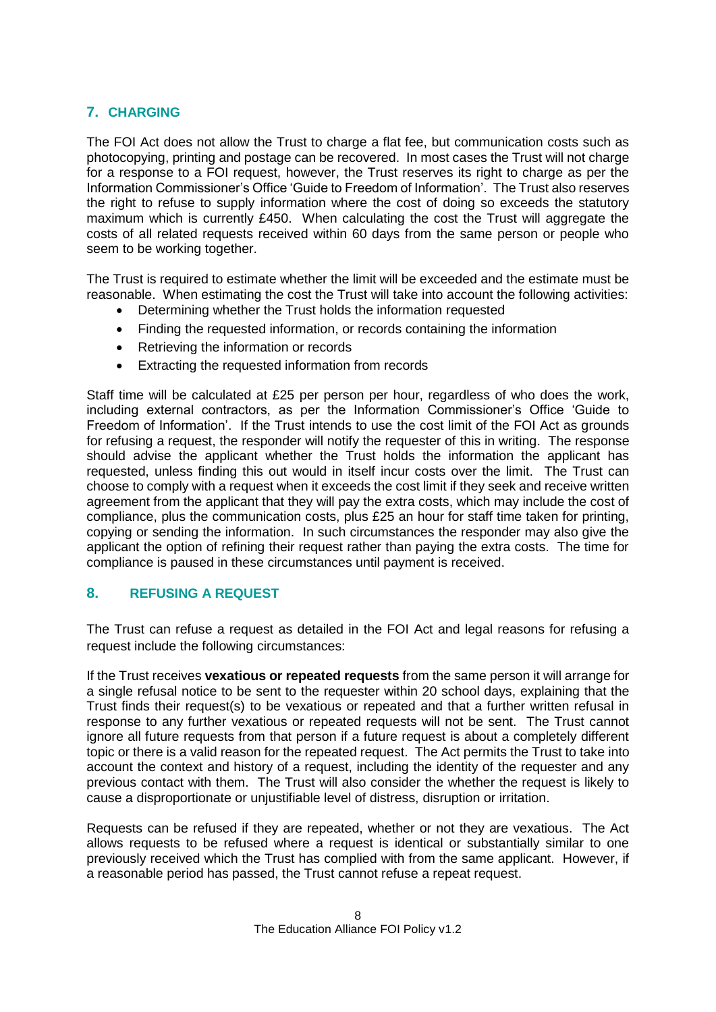#### **7. CHARGING**

The FOI Act does not allow the Trust to charge a flat fee, but communication costs such as photocopying, printing and postage can be recovered. In most cases the Trust will not charge for a response to a FOI request, however, the Trust reserves its right to charge as per the Information Commissioner's Office 'Guide to Freedom of Information'. The Trust also reserves the right to refuse to supply information where the cost of doing so exceeds the statutory maximum which is currently £450. When calculating the cost the Trust will aggregate the costs of all related requests received within 60 days from the same person or people who seem to be working together.

The Trust is required to estimate whether the limit will be exceeded and the estimate must be reasonable. When estimating the cost the Trust will take into account the following activities:

- Determining whether the Trust holds the information requested
- Finding the requested information, or records containing the information
- Retrieving the information or records
- Extracting the requested information from records

Staff time will be calculated at £25 per person per hour, regardless of who does the work, including external contractors, as per the Information Commissioner's Office 'Guide to Freedom of Information'. If the Trust intends to use the cost limit of the FOI Act as grounds for refusing a request, the responder will notify the requester of this in writing. The response should advise the applicant whether the Trust holds the information the applicant has requested, unless finding this out would in itself incur costs over the limit. The Trust can choose to comply with a request when it exceeds the cost limit if they seek and receive written agreement from the applicant that they will pay the extra costs, which may include the cost of compliance, plus the communication costs, plus £25 an hour for staff time taken for printing, copying or sending the information. In such circumstances the responder may also give the applicant the option of refining their request rather than paying the extra costs. The time for compliance is paused in these circumstances until payment is received.

#### **8. REFUSING A REQUEST**

The Trust can refuse a request as detailed in the FOI Act and legal reasons for refusing a request include the following circumstances:

If the Trust receives **vexatious or repeated requests** from the same person it will arrange for a single refusal notice to be sent to the requester within 20 school days, explaining that the Trust finds their request(s) to be vexatious or repeated and that a further written refusal in response to any further vexatious or repeated requests will not be sent. The Trust cannot ignore all future requests from that person if a future request is about a completely different topic or there is a valid reason for the repeated request. The Act permits the Trust to take into account the context and history of a request, including the identity of the requester and any previous contact with them. The Trust will also consider the whether the request is likely to cause a disproportionate or unjustifiable level of distress, disruption or irritation.

Requests can be refused if they are repeated, whether or not they are vexatious. The Act allows requests to be refused where a request is identical or substantially similar to one previously received which the Trust has complied with from the same applicant. However, if a reasonable period has passed, the Trust cannot refuse a repeat request.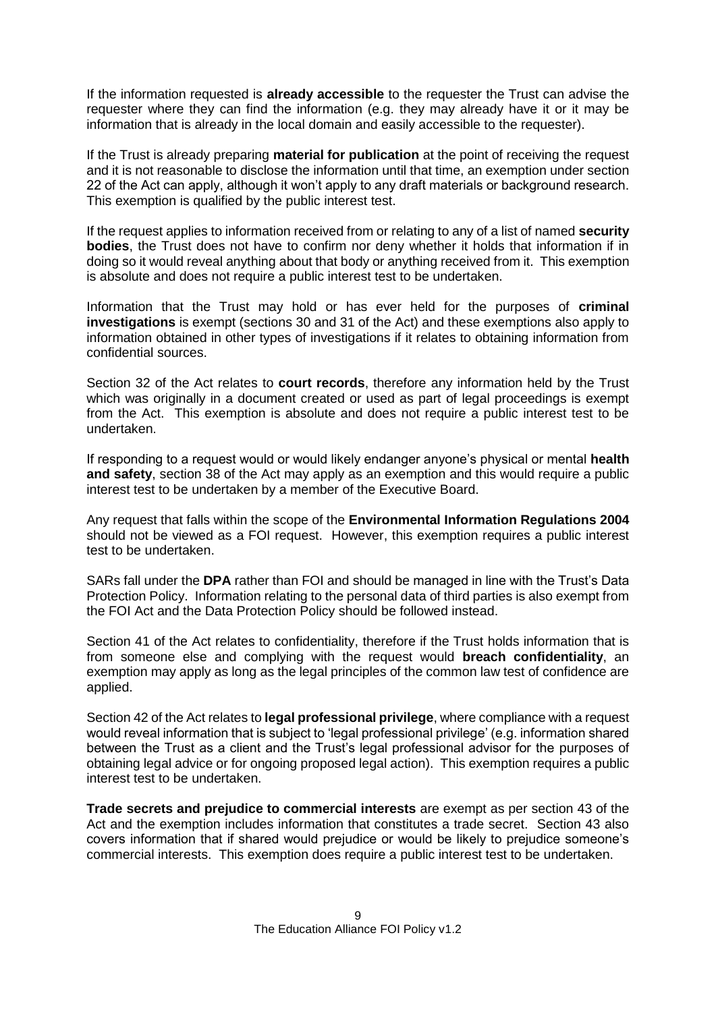If the information requested is **already accessible** to the requester the Trust can advise the requester where they can find the information (e.g. they may already have it or it may be information that is already in the local domain and easily accessible to the requester).

If the Trust is already preparing **material for publication** at the point of receiving the request and it is not reasonable to disclose the information until that time, an exemption under section 22 of the Act can apply, although it won't apply to any draft materials or background research. This exemption is qualified by the public interest test.

If the request applies to information received from or relating to any of a list of named **security bodies**, the Trust does not have to confirm nor deny whether it holds that information if in doing so it would reveal anything about that body or anything received from it. This exemption is absolute and does not require a public interest test to be undertaken.

Information that the Trust may hold or has ever held for the purposes of **criminal investigations** is exempt (sections 30 and 31 of the Act) and these exemptions also apply to information obtained in other types of investigations if it relates to obtaining information from confidential sources.

Section 32 of the Act relates to **court records**, therefore any information held by the Trust which was originally in a document created or used as part of legal proceedings is exempt from the Act. This exemption is absolute and does not require a public interest test to be undertaken.

If responding to a request would or would likely endanger anyone's physical or mental **health and safety**, section 38 of the Act may apply as an exemption and this would require a public interest test to be undertaken by a member of the Executive Board.

Any request that falls within the scope of the **Environmental Information Regulations 2004** should not be viewed as a FOI request. However, this exemption requires a public interest test to be undertaken.

SARs fall under the **DPA** rather than FOI and should be managed in line with the Trust's Data Protection Policy. Information relating to the personal data of third parties is also exempt from the FOI Act and the Data Protection Policy should be followed instead.

Section 41 of the Act relates to confidentiality, therefore if the Trust holds information that is from someone else and complying with the request would **breach confidentiality**, an exemption may apply as long as the legal principles of the common law test of confidence are applied.

Section 42 of the Act relates to **legal professional privilege**, where compliance with a request would reveal information that is subject to 'legal professional privilege' (e.g. information shared between the Trust as a client and the Trust's legal professional advisor for the purposes of obtaining legal advice or for ongoing proposed legal action). This exemption requires a public interest test to be undertaken.

**Trade secrets and prejudice to commercial interests** are exempt as per section 43 of the Act and the exemption includes information that constitutes a trade secret. Section 43 also covers information that if shared would prejudice or would be likely to prejudice someone's commercial interests. This exemption does require a public interest test to be undertaken.